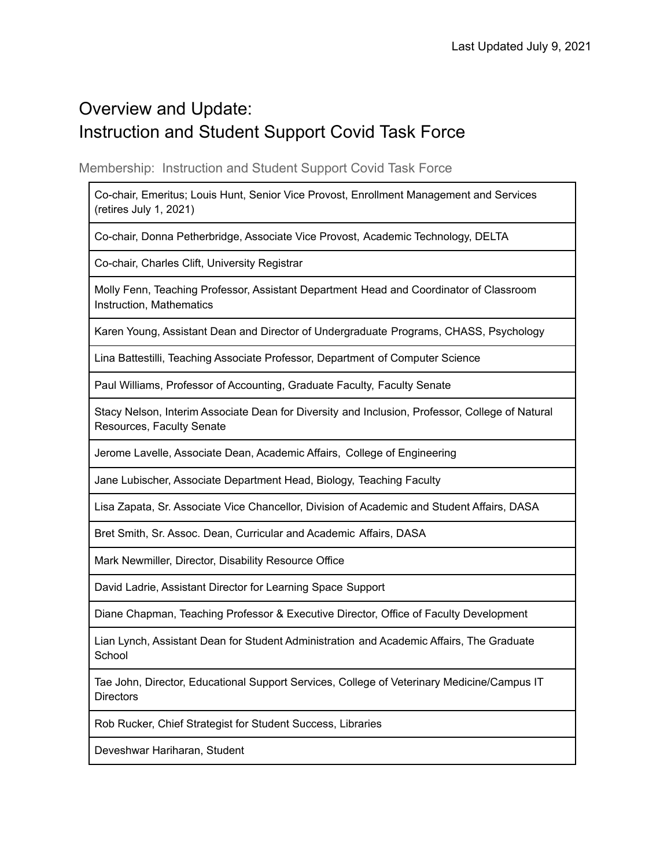# Overview and Update: Instruction and Student Support Covid Task Force

Membership: Instruction and Student Support Covid Task Force

Co-chair, Emeritus; Louis Hunt, Senior Vice Provost, Enrollment Management and Services (retires July 1, 2021)

Co-chair, Donna Petherbridge, Associate Vice Provost, Academic Technology, DELTA

Co-chair, Charles Clift, University Registrar

Molly Fenn, Teaching Professor, Assistant Department Head and Coordinator of Classroom Instruction, Mathematics

Karen Young, Assistant Dean and Director of Undergraduate Programs, CHASS, Psychology

Lina Battestilli, Teaching Associate Professor, Department of Computer Science

Paul Williams, Professor of Accounting, Graduate Faculty, Faculty Senate

Stacy Nelson, Interim Associate Dean for Diversity and Inclusion, Professor, College of Natural Resources, Faculty Senate

Jerome Lavelle, Associate Dean, Academic Affairs, College of Engineering

Jane Lubischer, Associate Department Head, Biology, Teaching Faculty

Lisa Zapata, Sr. Associate Vice Chancellor, Division of Academic and Student Affairs, DASA

Bret Smith, Sr. Assoc. Dean, Curricular and Academic Affairs, DASA

Mark Newmiller, Director, Disability Resource Office

David Ladrie, Assistant Director for Learning Space Support

Diane Chapman, Teaching Professor & Executive Director, Office of Faculty Development

Lian Lynch, Assistant Dean for Student Administration and Academic Affairs, The Graduate **School** 

Tae John, Director, Educational Support Services, College of Veterinary Medicine/Campus IT **Directors** 

Rob Rucker, Chief Strategist for Student Success, Libraries

Deveshwar Hariharan, Student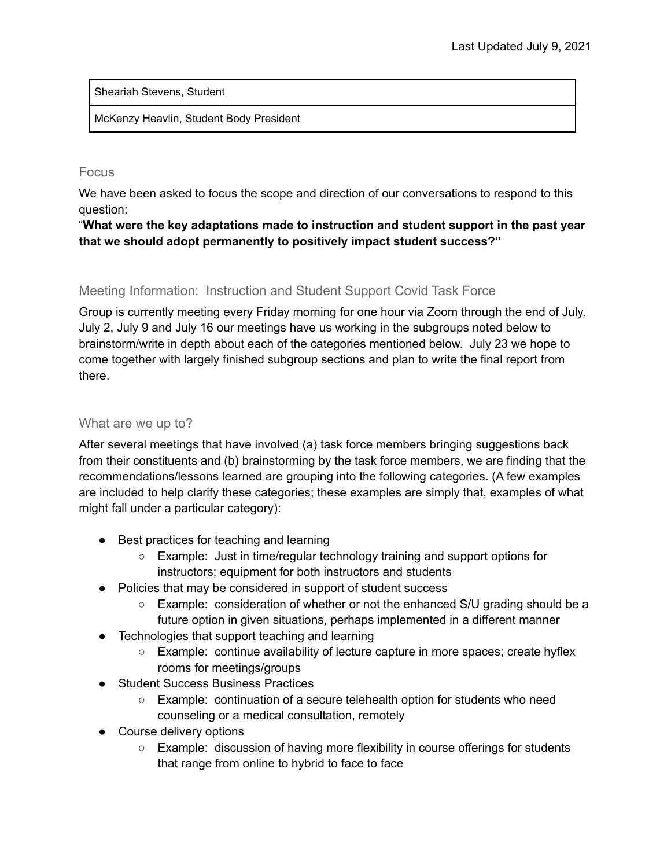Sheariah Stevens, Student

McKenzy Heavlin, Student Body President

## Focus

We have been asked to focus the scope and direction of our conversations to respond to this question:

"**What were the key adaptations made to instruction and student support in the past year that we should adopt permanently to positively impact student success?"**

# Meeting Information: Instruction and Student Support Covid Task Force

Group is currently meeting every Friday morning for one hour via Zoom through the end of July. July 2, July 9 and July 16 our meetings have us working in the subgroups noted below to brainstorm/write in depth about each of the categories mentioned below. July 23 we hope to come together with largely finished subgroup sections and plan to write the final report from there.

### What are we up to?

After several meetings that have involved (a) task force members bringing suggestions back from their constituents and (b) brainstorming by the task force members, we are finding that the recommendations/lessons learned are grouping into the following categories. (A few examples are included to help clarify these categories; these examples are simply that, examples of what might fall under a particular category):

- Best practices for teaching and learning
	- Example: Just in time/regular technology training and support options for instructors; equipment for both instructors and students
- Policies that may be considered in support of student success
	- Example: consideration of whether or not the enhanced S/U grading should be a future option in given situations, perhaps implemented in a different manner
- Technologies that support teaching and learning
	- Example: continue availability of lecture capture in more spaces; create hyflex rooms for meetings/groups
- Student Success Business Practices
	- Example: continuation of a secure telehealth option for students who need counseling or a medical consultation, remotely
- Course delivery options
	- Example: discussion of having more flexibility in course offerings for students that range from online to hybrid to face to face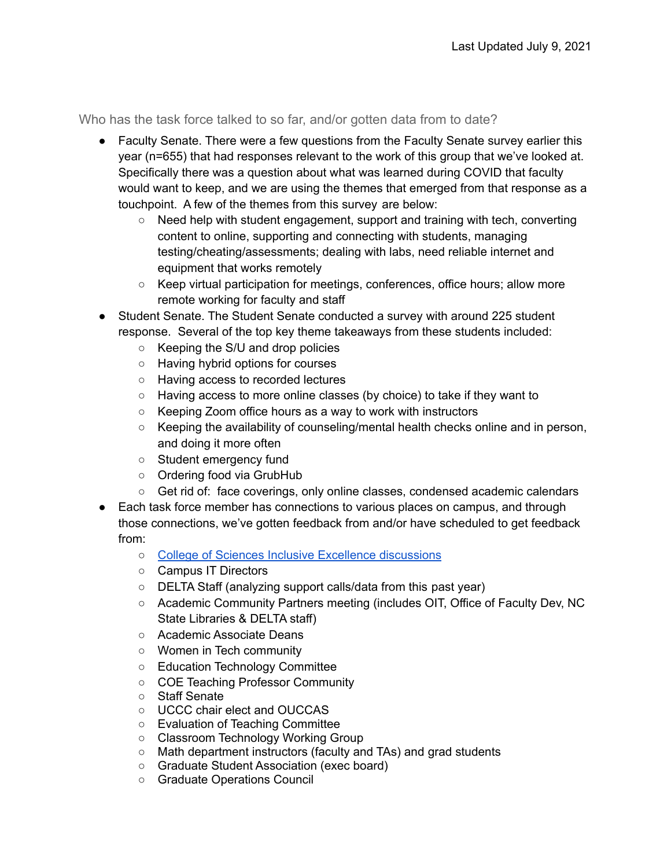Who has the task force talked to so far, and/or gotten data from to date?

- Faculty Senate. There were a few questions from the Faculty Senate survey earlier this year (n=655) that had responses relevant to the work of this group that we've looked at. Specifically there was a question about what was learned during COVID that faculty would want to keep, and we are using the themes that emerged from that response as a touchpoint. A few of the themes from this survey are below:
	- $\circ$  Need help with student engagement, support and training with tech, converting content to online, supporting and connecting with students, managing testing/cheating/assessments; dealing with labs, need reliable internet and equipment that works remotely
	- Keep virtual participation for meetings, conferences, office hours; allow more remote working for faculty and staff
- Student Senate. The Student Senate conducted a survey with around 225 student response. Several of the top key theme takeaways from these students included:
	- Keeping the S/U and drop policies
	- Having hybrid options for courses
	- Having access to recorded lectures
	- Having access to more online classes (by choice) to take if they want to
	- Keeping Zoom office hours as a way to work with instructors
	- Keeping the availability of counseling/mental health checks online and in person, and doing it more often
	- Student emergency fund
	- Ordering food via GrubHub
	- Get rid of: face coverings, only online classes, condensed academic calendars
- Each task force member has connections to various places on campus, and through those connections, we've gotten feedback from and/or have scheduled to get feedback from:
	- College of Sciences Inclusive Excellence [discussions](https://docs.google.com/presentation/d/12FILoms4aIBDFmopfXxa84r-mBvPb_2SvmWxABjHcd8/edit?usp=sharing)
	- Campus IT Directors
	- DELTA Staff (analyzing support calls/data from this past year)
	- Academic Community Partners meeting (includes OIT, Office of Faculty Dev, NC State Libraries & DELTA staff)
	- Academic Associate Deans
	- Women in Tech community
	- Education Technology Committee
	- COE Teaching Professor Community
	- Staff Senate
	- UCCC chair elect and OUCCAS
	- Evaluation of Teaching Committee
	- Classroom Technology Working Group
	- Math department instructors (faculty and TAs) and grad students
	- Graduate Student Association (exec board)
	- Graduate Operations Council